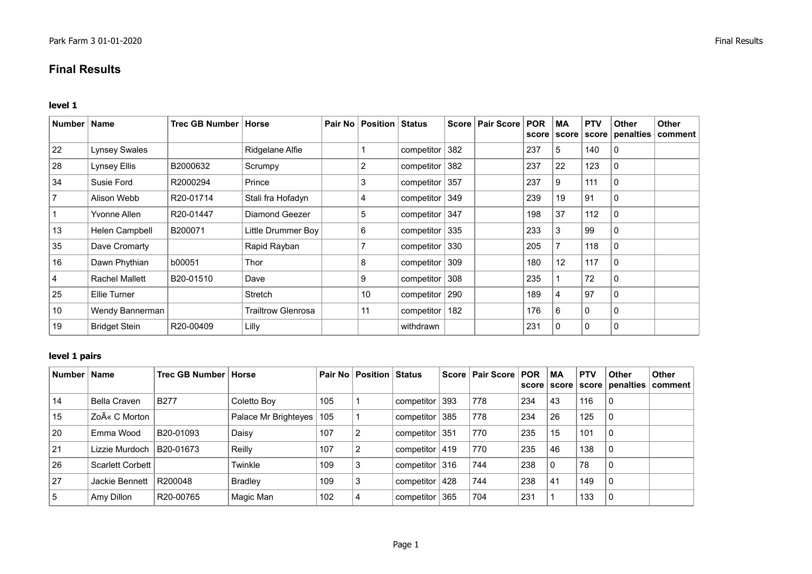# **Final Results**

#### **level 1**

| <b>Number</b> | <b>Name</b>           | Trec GB Number   Horse |                           | Pair No   Position   Status |                |     | Score   Pair Score | <b>POR</b><br>score | <b>MA</b><br>score | <b>PTV</b><br>score | <b>Other</b><br>penalties | <b>Other</b><br>∣ comment |
|---------------|-----------------------|------------------------|---------------------------|-----------------------------|----------------|-----|--------------------|---------------------|--------------------|---------------------|---------------------------|---------------------------|
| 22            | <b>Lynsey Swales</b>  |                        | Ridgelane Alfie           |                             | competitor     | 382 |                    | 237                 | 5                  | 140                 | $\mathbf{0}$              |                           |
| 28            | Lynsey Ellis          | B2000632               | Scrumpy                   | 2                           | competitor 382 |     |                    | 237                 | 22                 | 123                 | 0                         |                           |
| 34            | Susie Ford            | R2000294               | Prince                    | 3                           | competitor 357 |     |                    | 237                 | 9                  | 111                 | $\Omega$                  |                           |
|               | Alison Webb           | R20-01714              | Stali fra Hofadyn         | 4                           | competitor 349 |     |                    | 239                 | 19                 | 91                  | $\mathbf{0}$              |                           |
|               | Yvonne Allen          | R20-01447              | Diamond Geezer            | 5                           | competitor 347 |     |                    | 198                 | 37                 | 112                 | $\mathbf{0}$              |                           |
| 13            | Helen Campbell        | B200071                | Little Drummer Boy        | 6                           | competitor 335 |     |                    | 233                 | 3                  | 99                  | 0                         |                           |
| 35            | Dave Cromarty         |                        | Rapid Rayban              |                             | competitor 330 |     |                    | 205                 |                    | 118                 | $\Omega$                  |                           |
| 16            | Dawn Phythian         | b00051                 | Thor                      | 8                           | competitor 309 |     |                    | 180                 | 12                 | 117                 | $\Omega$                  |                           |
|               | <b>Rachel Mallett</b> | B20-01510              | Dave                      | 9                           | competitor 308 |     |                    | 235                 |                    | 72                  | 0                         |                           |
| 25            | Ellie Turner          |                        | Stretch                   | 10                          | competitor 290 |     |                    | 189                 | 4                  | 97                  | 0                         |                           |
| 10            | Wendy Bannerman       |                        | <b>Trailtrow Glenrosa</b> | 11                          | competitor     | 182 |                    | 176                 | 6                  | 0                   | $\Omega$                  |                           |
| 19            | <b>Bridget Stein</b>  | R20-00409              | Lilly                     |                             | withdrawn      |     |                    | 231                 | 0                  | $\Omega$            | $\Omega$                  |                           |

# **level 1 pairs**

| Number   Name |                     | Trec GB Number   Horse |                            |     | <b>Pair No   Position   Status</b> |                    |     | Score   Pair Score   POR |     | МA | <b>PTV</b> | <b>Other</b><br>score   score   score   penalties | Other<br>comment |
|---------------|---------------------|------------------------|----------------------------|-----|------------------------------------|--------------------|-----|--------------------------|-----|----|------------|---------------------------------------------------|------------------|
| 14            | <b>Bella Craven</b> | <b>B277</b>            | Coletto Boy                | 105 |                                    | competitor 393     |     | 778                      | 234 | 43 | 116        | $\Omega$                                          |                  |
| 15            | Zoë C Morton        |                        | Palace Mr Brighteyes   105 |     |                                    | competitor $ 385 $ |     | 778                      | 234 | 26 | 125        | $\Omega$                                          |                  |
| 20            | Emma Wood           | B20-01093              | Daisy                      | 107 | 2                                  | competitor $ 351$  |     | 770                      | 235 | 15 | 101        | $\Omega$                                          |                  |
| 21            | Lizzie Murdoch      | B20-01673              | Reilly                     | 107 | 2                                  | competitor   419   |     | 770                      | 235 | 46 | 138        | $\Omega$                                          |                  |
| 26            | Scarlett Corbett    |                        | Twinkle                    | 109 | 3                                  | competitor 316     |     | 744                      | 238 |    | 78         | 0                                                 |                  |
| 27            | Jackie Bennett      | R200048                | <b>Bradley</b>             | 109 | 3                                  | competitor $ 428$  |     | 744                      | 238 | 41 | 149        | $\Omega$                                          |                  |
| 5             | Amy Dillon          | R20-00765              | Magic Man                  | 102 | $\overline{4}$                     | competitor         | 365 | 704                      | 231 |    | 133        | $\Omega$                                          |                  |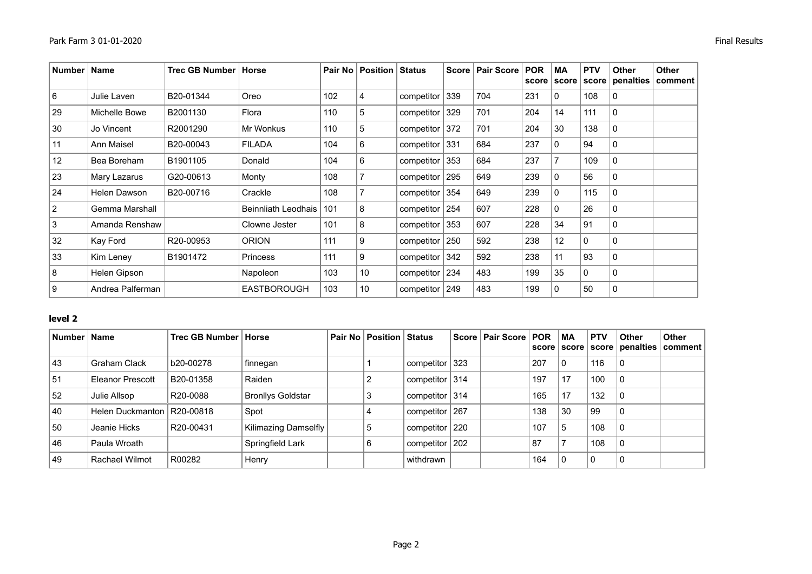| <b>Number</b>  | <b>Name</b>      | <b>Trec GB Number</b> | Horse               |     | Pair No   Position   Status |                    | <b>Score</b> | <b>Pair Score</b> | <b>POR</b><br>score | MA<br>score | <b>PTV</b><br>score | <b>Other</b><br>penalties | Other<br>comment |
|----------------|------------------|-----------------------|---------------------|-----|-----------------------------|--------------------|--------------|-------------------|---------------------|-------------|---------------------|---------------------------|------------------|
| 6              | Julie Laven      | B20-01344             | Oreo                | 102 | 4                           | competitor $ 339 $ |              | 704               | 231                 | 0           | 108                 | 0                         |                  |
| 29             | Michelle Bowe    | B2001130              | Flora               | 110 | 5                           | competitor         | 329          | 701               | 204                 | 14          | 111                 | $\Omega$                  |                  |
| 30             | Jo Vincent       | R2001290              | Mr Wonkus           | 110 | 5                           | competitor $ 372 $ |              | 701               | 204                 | 30          | 138                 | 0                         |                  |
| 11             | Ann Maisel       | B20-00043             | <b>FILADA</b>       | 104 | 6                           | competitor $ 331$  |              | 684               | 237                 | 0           | 94                  | 0                         |                  |
| 12             | Bea Boreham      | B1901105              | Donald              | 104 | 6                           | competitor $ 353 $ |              | 684               | 237                 |             | 109                 | 0                         |                  |
| 23             | Mary Lazarus     | G20-00613             | Monty               | 108 |                             | competitor $ 295$  |              | 649               | 239                 | 0           | 56                  | $\Omega$                  |                  |
| 24             | Helen Dawson     | B20-00716             | Crackle             | 108 |                             | competitor $ 354 $ |              | 649               | 239                 | 0           | 115                 | 0                         |                  |
| $\overline{2}$ | Gemma Marshall   |                       | Beinnliath Leodhais | 101 | 8                           | competitor $ 254 $ |              | 607               | 228                 | 0           | 26                  | $\Omega$                  |                  |
| 3              | Amanda Renshaw   |                       | Clowne Jester       | 101 | 8                           | competitor $ 353 $ |              | 607               | 228                 | 34          | 91                  | $\Omega$                  |                  |
| 32             | Kay Ford         | R20-00953             | <b>ORION</b>        | 111 | 9                           | competitor $ 250$  |              | 592               | 238                 | 12          | $\mathbf 0$         | $\Omega$                  |                  |
| 33             | Kim Leney        | B1901472              | <b>Princess</b>     | 111 | 9                           | competitor $342$   |              | 592               | 238                 | 11          | 93                  | $\Omega$                  |                  |
| 8              | Helen Gipson     |                       | Napoleon            | 103 | 10                          | competitor $ 234 $ |              | 483               | 199                 | 35          | 0                   | 0                         |                  |
| 9              | Andrea Palferman |                       | <b>EASTBOROUGH</b>  | 103 | 10                          | competitor $ 249$  |              | 483               | 199                 | 0           | 50                  | $\mathbf 0$               |                  |

### **level 2**

| <b>Number</b> | <b>Name</b>      | Trec GB Number   Horse |                          | <b>Pair No   Position   Status</b> |                    | Score   Pair Score   POR |     | MA<br>score   score | <b>PTV</b>   | <b>Other</b> | <b>Other</b><br>  score   penalties   comment |
|---------------|------------------|------------------------|--------------------------|------------------------------------|--------------------|--------------------------|-----|---------------------|--------------|--------------|-----------------------------------------------|
| 43            | Graham Clack     | b20-00278              | ∣ finnegan               |                                    | competitor $ 323 $ |                          | 207 | $\Omega$            | 116          | 0            |                                               |
| 51            | Eleanor Prescott | B20-01358              | Raiden                   |                                    | competitor $ 314 $ |                          | 197 | 17                  | 100          | 0            |                                               |
| 52            | Julie Allsop     | R20-0088               | <b>Bronllys Goldstar</b> |                                    | competitor $ 314 $ |                          | 165 | 17                  | 132          | 0            |                                               |
| 40            | Helen Duckmanton | R20-00818              | Spot                     |                                    | competitor   267   |                          | 138 | 30                  | 99           | 0            |                                               |
| 50            | Jeanie Hicks     | R20-00431              | Kilimazing Damselfly     | 5                                  | competitor $220$   |                          | 107 | 5                   | 108          | 0            |                                               |
| 46            | Paula Wroath     |                        | Springfield Lark         | 6                                  | competitor 202     |                          | 87  |                     | 108          | 0            |                                               |
| 49            | Rachael Wilmot   | R00282                 | Henry                    |                                    | withdrawn          |                          | 164 | $\Omega$            | $\mathbf{0}$ | 0            |                                               |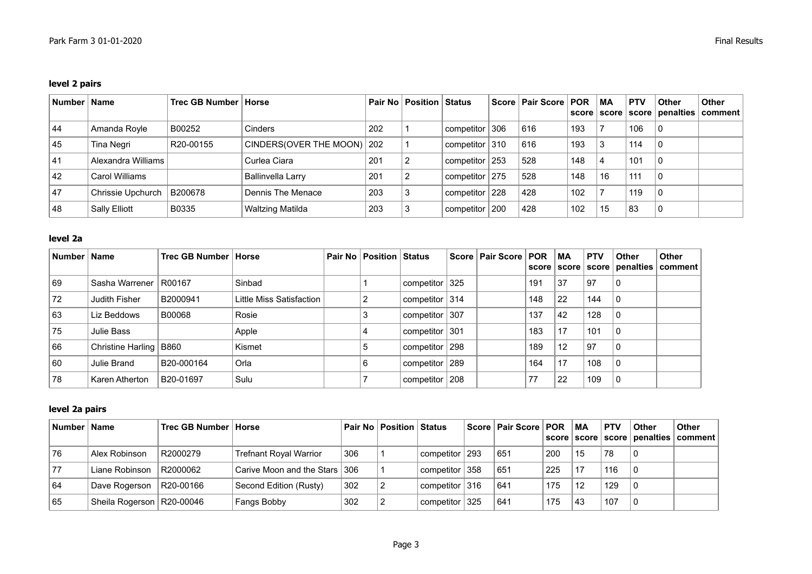# **level 2 pairs**

| Number   Name |                    | Trec GB Number   Horse |                            |     | Pair No   Position   Status |                  | Score   Pair Score   POR |     | ∣ MA | <b>PTV</b> | <b>Other</b> | <b>Other</b><br>score   score   score   penalties   comment |
|---------------|--------------------|------------------------|----------------------------|-----|-----------------------------|------------------|--------------------------|-----|------|------------|--------------|-------------------------------------------------------------|
| 44            | Amanda Royle       | B00252                 | Cinders                    | 202 |                             | competitor 306   | 616                      | 193 |      | 106        |              |                                                             |
| 45            | Tina Negri         | R20-00155              | CINDERS(OVER THE MOON) 202 |     |                             | competitor 310   | 616                      | 193 |      | 114        |              |                                                             |
| 41            | Alexandra Williams |                        | Curlea Ciara               | 201 |                             | competitor   253 | 528                      | 148 |      | 101        |              |                                                             |
| 42            | Carol Williams     |                        | <b>Ballinvella Larry</b>   | 201 |                             | competitor   275 | 528                      | 148 | 16   | 111        | 0            |                                                             |
| 47            | Chrissie Upchurch  | B200678                | Dennis The Menace          | 203 |                             | competitor   228 | 428                      | 102 |      | 119        | -0           |                                                             |
| 48            | Sally Elliott      | B0335                  | Waltzing Matilda           | 203 |                             | competitor   200 | 428                      | 102 | 15   | 83         | 0            |                                                             |

### **level 2a**

| Number | <b>Name</b>              | Trec GB Number   Horse |                          | <b>Pair No   Position   Status</b> |                  |     | Score   Pair Score   POR |     | MA<br>score   score | <b>PTV</b> | <b>Other</b> | <b>Other</b><br>score penalties comment |
|--------|--------------------------|------------------------|--------------------------|------------------------------------|------------------|-----|--------------------------|-----|---------------------|------------|--------------|-----------------------------------------|
| 69     | Sasha Warrener   R00167  |                        | Sinbad                   |                                    | competitor $325$ |     |                          | 191 | 37                  | 97         | 0            |                                         |
| 72     | Judith Fisher            | B2000941               | Little Miss Satisfaction |                                    | competitor $314$ |     |                          | 148 | 22                  | 144        | 0            |                                         |
| 63     | Liz Beddows              | B00068                 | Rosie                    | З                                  | competitor       | 307 |                          | 137 | 42                  | 128        | 0            |                                         |
| 75     | Julie Bass               |                        | Apple                    |                                    | componentor      | 301 |                          | 183 | 17                  | 101        | 0            |                                         |
| 66     | Christine Harling   B860 |                        | Kismet                   | ່ວ                                 | competitor   298 |     |                          | 189 | 12                  | 97         | 0            |                                         |
| 60     | Julie Brand              | B20-000164             | Orla                     | 6                                  | competitor   289 |     |                          | 164 | 17                  | 108        | 0            |                                         |
| 78     | Karen Atherton           | B20-01697              | Sulu                     |                                    | competitor   208 |     |                          | 77  | -22                 | 109        | 0            |                                         |

# **level 2a pairs**

| Number Name |                             | Trec GB Number   Horse |                               |     | Pair No Position Status |                                            | Score   Pair Score   POR   MA |     |    | <b>PTV</b> | <b>Other</b> | <b>Other</b><br>score   score   score   penalties   comment |
|-------------|-----------------------------|------------------------|-------------------------------|-----|-------------------------|--------------------------------------------|-------------------------------|-----|----|------------|--------------|-------------------------------------------------------------|
| 76          | Alex Robinson               | R2000279               | <b>Trefnant Royal Warrior</b> | 306 |                         | $\frac{1}{2}$ competitor $\frac{1}{2}$ 293 | 651                           | 200 | 15 | 78         | 0            |                                                             |
| 77          | Liane Robinson              | R2000062               | Carive Moon and the Stars 306 |     |                         | competitor 358                             | 651                           | 225 | 17 | 116        | 0            |                                                             |
| 64          | Dave Rogerson               | R20-00166              | Second Edition (Rusty)        | 302 |                         | competitor 316                             | 641                           | 175 | 12 | 129        | $\Omega$     |                                                             |
| 65          | Sheila Rogerson   R20-00046 |                        | Fangs Bobby                   | 302 |                         | competitor 325                             | 641                           | 175 | 43 | 107        | 0            |                                                             |